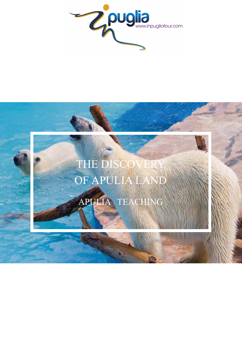

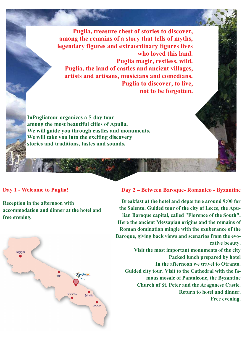**Puglia, treasure chest of stories to discover, among the remains of a story that tells of myths, legendary figures and extraordinary figures lives who loved this land. Puglia magic, restless, wild. Puglia, the land of castles and ancient villages, artists and artisans, musicians and comedians. Puglia to discover, to live, not to be forgotten.** 

**InPugliatour organizes a 5-day tour among the most beautiful cities of Apulia. We will guide you through castles and monuments. We will take you into the exciting discovery stories and traditions, tastes and sounds.** 

## **Day 1 - Welcome to Puglia!**

**Reception in the afternoon with accommodation and dinner at the hotel and free evening.**



## **Day 2 – Between Baroque- Romanico - Byzantine**

**Breakfast at the hotel and departure around 9:00 for the Salento. Guided tour of the city of Lecce, the Apulian Baroque capital, called "Florence of the South". Here the ancient Messapian origins and the remains of Roman domination mingle with the exuberance of the Baroque, giving back views and scenarios from the evocative beauty.** 

**Visit the most important monuments of the city Packed lunch prepared by hotel In the afternoon we travel to Otranto. Guided city tour. Visit to the Cathedral with the famous mosaic of Pantaleone, the Byzantine Church of St. Peter and the Aragonese Castle. Return to hotel and dinner. Free evening.**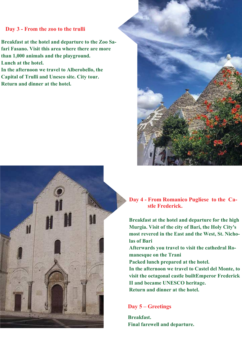## **Day 3 - From the zoo to the trulli**

**Breakfast at the hotel and departure to the Zoo Safari Fasano. Visit this area where there are more than 1,000 animals and the playground. Lunch at the hotel.** 

**In the afternoon we travel to Alberobello, the Capital of Trulli and Unesco site. City tour. Return and dinner at the hotel.** 



**Day 4 - From Romanico Pugliese to the Ca stle Frederick.** 

**Breakfast at the hotel and departure for the high Murgia. Visit of the city of Bari, the Holy City's most revered in the East and the West, St. Nicholas of Bari** 

**Afterwards you travel to visit the cathedral Romanesque on the Trani** 

**Packed lunch prepared at the hotel.** 

**In the afternoon we travel to Castel del Monte, to visit the octagonal castle builtEmperor Frederick II and became UNESCO heritage. Return and dinner at the hotel.** 

## **Day 5 – Greetings**

**Breakfast. Final farewell and departure.**